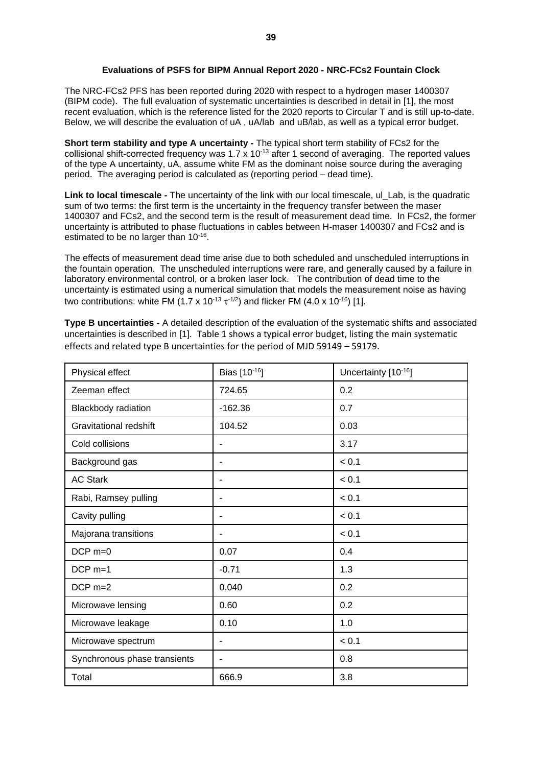## **Evaluations of PSFS for BIPM Annual Report 2020 - NRC-FCs2 Fountain Clock**

The NRC-FCs2 PFS has been reported during 2020 with respect to a hydrogen maser 1400307 (BIPM code). The full evaluation of systematic uncertainties is described in detail in [1], the most recent evaluation, which is the reference listed for the 2020 reports to Circular T and is still up-to-date. Below, we will describe the evaluation of uA , uA/lab and uB/lab, as well as a typical error budget.

**Short term stability and type A uncertainty** *-* The typical short term stability of FCs2 for the collisional shift-corrected frequency was 1.7 x 10-13 after 1 second of averaging. The reported values of the type A uncertainty, uA, assume white FM as the dominant noise source during the averaging period. The averaging period is calculated as (reporting period – dead time).

**Link to local timescale -** The uncertainty of the link with our local timescale, ul Lab, is the quadratic sum of two terms: the first term is the uncertainty in the frequency transfer between the maser 1400307 and FCs2, and the second term is the result of measurement dead time. In FCs2, the former uncertainty is attributed to phase fluctuations in cables between H-maser 1400307 and FCs2 and is estimated to be no larger than 10<sup>-16</sup>.

The effects of measurement dead time arise due to both scheduled and unscheduled interruptions in the fountain operation. The unscheduled interruptions were rare, and generally caused by a failure in laboratory environmental control, or a broken laser lock. The contribution of dead time to the uncertainty is estimated using a numerical simulation that models the measurement noise as having two contributions: white FM (1.7 x 10<sup>-13</sup>  $\tau$ <sup>-1/2</sup>) and flicker FM (4.0 x 10<sup>-16</sup>) [1].

**Type B uncertainties -** A detailed description of the evaluation of the systematic shifts and associated uncertainties is described in [1]. Table 1 shows a typical error budget, listing the main systematic effects and related type B uncertainties for the period of MJD 59149 – 59179.

| Physical effect               | Bias [10-16]             | Uncertainty [10-16] |
|-------------------------------|--------------------------|---------------------|
| Zeeman effect                 | 724.65                   | 0.2                 |
| Blackbody radiation           | $-162.36$                | 0.7                 |
| <b>Gravitational redshift</b> | 104.52                   | 0.03                |
| Cold collisions               | $\overline{\phantom{0}}$ | 3.17                |
| Background gas                |                          | < 0.1               |
| <b>AC Stark</b>               |                          | < 0.1               |
| Rabi, Ramsey pulling          |                          | < 0.1               |
| Cavity pulling                | ۰                        | < 0.1               |
| Majorana transitions          |                          | < 0.1               |
| $DCP$ m=0                     | 0.07                     | 0.4                 |
| $DCP$ m=1                     | $-0.71$                  | 1.3                 |
| $DCP$ m=2                     | 0.040                    | 0.2                 |
| Microwave lensing             | 0.60                     | 0.2                 |
| Microwave leakage             | 0.10                     | 1.0                 |
| Microwave spectrum            | $\blacksquare$           | < 0.1               |
| Synchronous phase transients  | $\blacksquare$           | 0.8                 |
| Total                         | 666.9                    | 3.8                 |